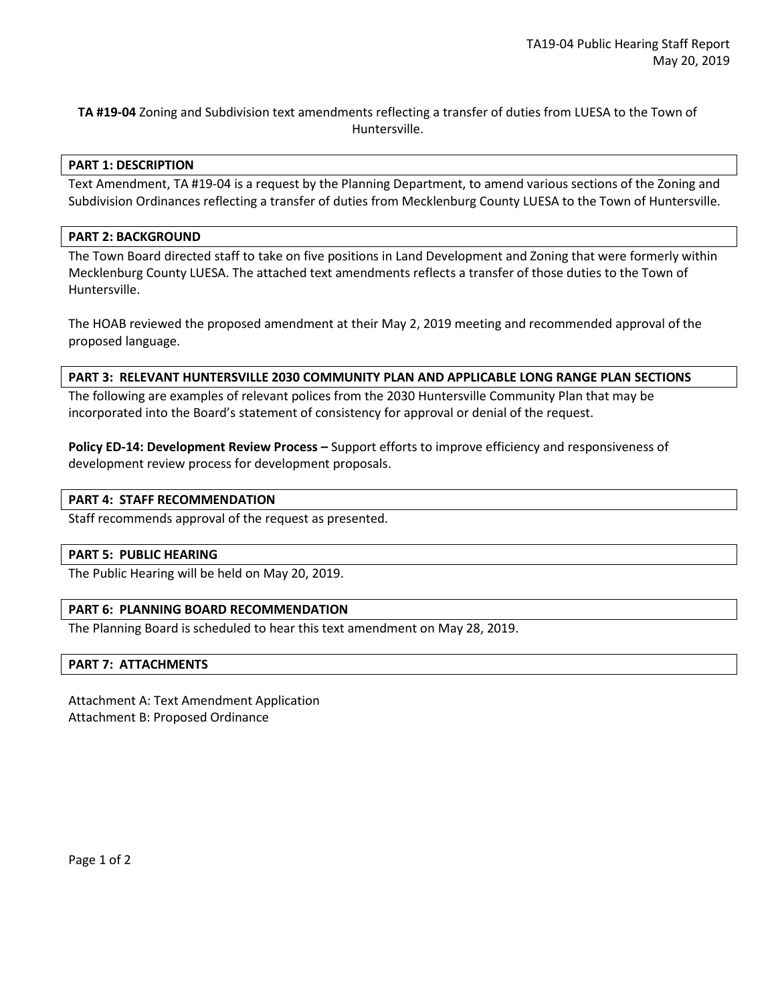**TA #19-04** Zoning and Subdivision text amendments reflecting a transfer of duties from LUESA to the Town of Huntersville.

## **PART 1: DESCRIPTION**

Text Amendment, TA #19-04 is a request by the Planning Department, to amend various sections of the Zoning and Subdivision Ordinances reflecting a transfer of duties from Mecklenburg County LUESA to the Town of Huntersville.

## **PART 2: BACKGROUND**

The Town Board directed staff to take on five positions in Land Development and Zoning that were formerly within Mecklenburg County LUESA. The attached text amendments reflects a transfer of those duties to the Town of Huntersville.

The HOAB reviewed the proposed amendment at their May 2, 2019 meeting and recommended approval of the proposed language.

## **PART 3: RELEVANT HUNTERSVILLE 2030 COMMUNITY PLAN AND APPLICABLE LONG RANGE PLAN SECTIONS**

The following are examples of relevant polices from the 2030 Huntersville Community Plan that may be incorporated into the Board's statement of consistency for approval or denial of the request.

**Policy ED-14: Development Review Process –** Support efforts to improve efficiency and responsiveness of development review process for development proposals.

### **PART 4: STAFF RECOMMENDATION**

Staff recommends approval of the request as presented.

#### **PART 5: PUBLIC HEARING**

The Public Hearing will be held on May 20, 2019.

# **PART 6: PLANNING BOARD RECOMMENDATION**

The Planning Board is scheduled to hear this text amendment on May 28, 2019.

#### **PART 7: ATTACHMENTS**

Attachment A: Text Amendment Application Attachment B: Proposed Ordinance

Page 1 of 2